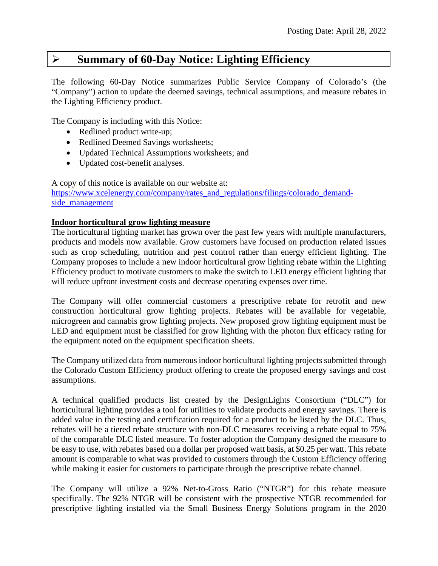## **Summary of 60-Day Notice: Lighting Efficiency**

The following 60-Day Notice summarizes Public Service Company of Colorado's (the "Company") action to update the deemed savings, technical assumptions, and measure rebates in the Lighting Efficiency product.

The Company is including with this Notice:

- Redlined product write-up;
- Redlined Deemed Savings worksheets;
- Updated Technical Assumptions worksheets; and
- Updated cost-benefit analyses.

A copy of this notice is available on our website at: [https://www.xcelenergy.com/company/rates\\_and\\_regulations/filings/colorado\\_demand](https://www.xcelenergy.com/company/rates_and_regulations/filings/colorado_demand-side_management)[side\\_management](https://www.xcelenergy.com/company/rates_and_regulations/filings/colorado_demand-side_management)

### **Indoor horticultural grow lighting measure**

The horticultural lighting market has grown over the past few years with multiple manufacturers, products and models now available. Grow customers have focused on production related issues such as crop scheduling, nutrition and pest control rather than energy efficient lighting. The Company proposes to include a new indoor horticultural grow lighting rebate within the Lighting Efficiency product to motivate customers to make the switch to LED energy efficient lighting that will reduce upfront investment costs and decrease operating expenses over time.

The Company will offer commercial customers a prescriptive rebate for retrofit and new construction horticultural grow lighting projects. Rebates will be available for vegetable, microgreen and cannabis grow lighting projects. New proposed grow lighting equipment must be LED and equipment must be classified for grow lighting with the photon flux efficacy rating for the equipment noted on the equipment specification sheets.

The Company utilized data from numerous indoor horticultural lighting projects submitted through the Colorado Custom Efficiency product offering to create the proposed energy savings and cost assumptions.

A technical qualified products list created by the DesignLights Consortium ("DLC") for horticultural lighting provides a tool for utilities to validate products and energy savings. There is added value in the testing and certification required for a product to be listed by the DLC. Thus, rebates will be a tiered rebate structure with non-DLC measures receiving a rebate equal to 75% of the comparable DLC listed measure. To foster adoption the Company designed the measure to be easy to use, with rebates based on a dollar per proposed watt basis, at \$0.25 per watt. This rebate amount is comparable to what was provided to customers through the Custom Efficiency offering while making it easier for customers to participate through the prescriptive rebate channel.

The Company will utilize a 92% Net-to-Gross Ratio ("NTGR") for this rebate measure specifically. The 92% NTGR will be consistent with the prospective NTGR recommended for prescriptive lighting installed via the Small Business Energy Solutions program in the 2020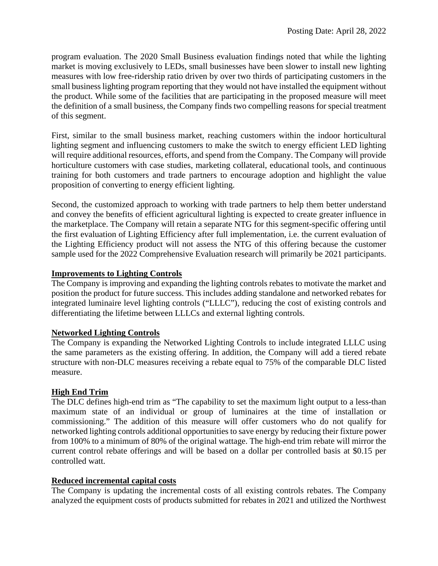program evaluation. The 2020 Small Business evaluation findings noted that while the lighting market is moving exclusively to LEDs, small businesses have been slower to install new lighting measures with low free-ridership ratio driven by over two thirds of participating customers in the small business lighting program reporting that they would not have installed the equipment without the product. While some of the facilities that are participating in the proposed measure will meet the definition of a small business, the Company finds two compelling reasons for special treatment of this segment.

First, similar to the small business market, reaching customers within the indoor horticultural lighting segment and influencing customers to make the switch to energy efficient LED lighting will require additional resources, efforts, and spend from the Company. The Company will provide horticulture customers with case studies, marketing collateral, educational tools, and continuous training for both customers and trade partners to encourage adoption and highlight the value proposition of converting to energy efficient lighting.

Second, the customized approach to working with trade partners to help them better understand and convey the benefits of efficient agricultural lighting is expected to create greater influence in the marketplace. The Company will retain a separate NTG for this segment-specific offering until the first evaluation of Lighting Efficiency after full implementation, i.e. the current evaluation of the Lighting Efficiency product will not assess the NTG of this offering because the customer sample used for the 2022 Comprehensive Evaluation research will primarily be 2021 participants.

#### **Improvements to Lighting Controls**

The Company is improving and expanding the lighting controls rebates to motivate the market and position the product for future success. This includes adding standalone and networked rebates for integrated luminaire level lighting controls ("LLLC"), reducing the cost of existing controls and differentiating the lifetime between LLLCs and external lighting controls.

#### **Networked Lighting Controls**

The Company is expanding the Networked Lighting Controls to include integrated LLLC using the same parameters as the existing offering. In addition, the Company will add a tiered rebate structure with non-DLC measures receiving a rebate equal to 75% of the comparable DLC listed measure.

#### **High End Trim**

The DLC defines high-end trim as "The capability to set the maximum light output to a less-than maximum state of an individual or group of luminaires at the time of installation or commissioning." The addition of this measure will offer customers who do not qualify for networked lighting controls additional opportunities to save energy by reducing their fixture power from 100% to a minimum of 80% of the original wattage. The high-end trim rebate will mirror the current control rebate offerings and will be based on a dollar per controlled basis at \$0.15 per controlled watt.

#### **Reduced incremental capital costs**

The Company is updating the incremental costs of all existing controls rebates. The Company analyzed the equipment costs of products submitted for rebates in 2021 and utilized the Northwest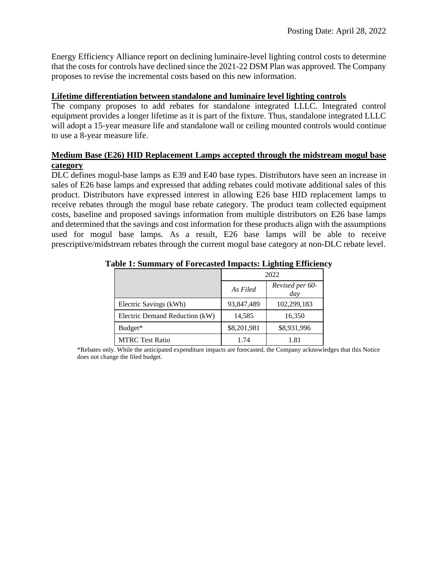Energy Efficiency Alliance report on declining luminaire-level lighting control costs to determine that the costs for controls have declined since the 2021-22 DSM Plan was approved. The Company proposes to revise the incremental costs based on this new information.

#### **Lifetime differentiation between standalone and luminaire level lighting controls**

The company proposes to add rebates for standalone integrated LLLC. Integrated control equipment provides a longer lifetime as it is part of the fixture. Thus, standalone integrated LLLC will adopt a 15-year measure life and standalone wall or ceiling mounted controls would continue to use a 8-year measure life.

### **Medium Base (E26) HID Replacement Lamps accepted through the midstream mogul base category**

DLC defines mogul-base lamps as E39 and E40 base types. Distributors have seen an increase in sales of E26 base lamps and expressed that adding rebates could motivate additional sales of this product. Distributors have expressed interest in allowing E26 base HID replacement lamps to receive rebates through the mogul base rebate category. The product team collected equipment costs, baseline and proposed savings information from multiple distributors on E26 base lamps and determined that the savings and cost information for these products align with the assumptions used for mogul base lamps. As a result, E26 base lamps will be able to receive prescriptive/midstream rebates through the current mogul base category at non-DLC rebate level.

|                                |             | 2022                   |
|--------------------------------|-------------|------------------------|
|                                | As Filed    | Revised per 60-<br>day |
| Electric Savings (kWh)         | 93,847,489  | 102,299,183            |
| Electric Demand Reduction (kW) | 14,585      | 16,350                 |
| Budget*                        | \$8,201,981 | \$8,931,996            |
| <b>MTRC Test Ratio</b>         | 1.74        | 1.81                   |

#### **Table 1: Summary of Forecasted Impacts: Lighting Efficiency**

\*Rebates only. While the anticipated expenditure impacts are forecasted, the Company acknowledges that this Notice does not change the filed budget.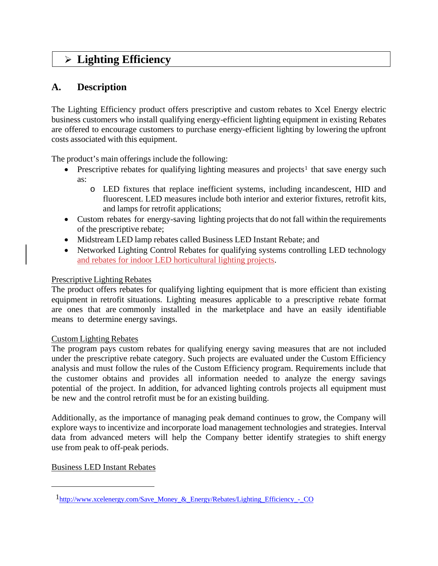# **Lighting Efficiency**

## **A. Description**

The Lighting Efficiency product offers prescriptive and custom rebates to Xcel Energy electric business customers who install qualifying energy-efficient lighting equipment in existing Rebates are offered to encourage customers to purchase energy-efficient lighting by lowering the upfront costs associated with this equipment.

The product's main offerings include the following:

- Prescriptive rebates for qualifying lighting measures and projects<sup>[1](#page-3-0)</sup> that save energy such as:
	- o LED fixtures that replace inefficient systems, including incandescent, HID and fluorescent. LED measures include both interior and exterior fixtures, retrofit kits, and lamps for retrofit applications;
- Custom rebates for energy-saving lighting projects that do not fall within the requirements of the prescriptive rebate;
- Midstream LED lamp rebates called Business LED Instant Rebate; and
- Networked Lighting Control Rebates for qualifying systems controlling LED technology and rebates for indoor LED horticultural lighting projects.

### Prescriptive Lighting Rebates

The product offers rebates for qualifying lighting equipment that is more efficient than existing equipment in retrofit situations. Lighting measures applicable to a prescriptive rebate format are ones that are commonly installed in the marketplace and have an easily identifiable means to determine energy savings.

### Custom Lighting Rebates

The program pays custom rebates for qualifying energy saving measures that are not included under the prescriptive rebate category. Such projects are evaluated under the Custom Efficiency analysis and must follow the rules of the Custom Efficiency program. Requirements include that the customer obtains and provides all information needed to analyze the energy savings potential of the project. In addition, for advanced lighting controls projects all equipment must be new and the control retrofit must be for an existing building.

Additionally, as the importance of managing peak demand continues to grow, the Company will explore ways to incentivize and incorporate load management technologies and strategies. Interval data from advanced meters will help the Company better identify strategies to shift energy use from peak to off-peak periods.

Business LED Instant Rebates

<span id="page-3-0"></span>[<sup>1</sup>http://www.xcelenergy.com/Save\\_Money\\_&\\_Energy/Rebates/Lighting\\_Efficiency\\_-\\_CO](http://www.xcelenergy.com/Save_Money_&_Energy/Rebates/Lighting_Efficiency_-_CO)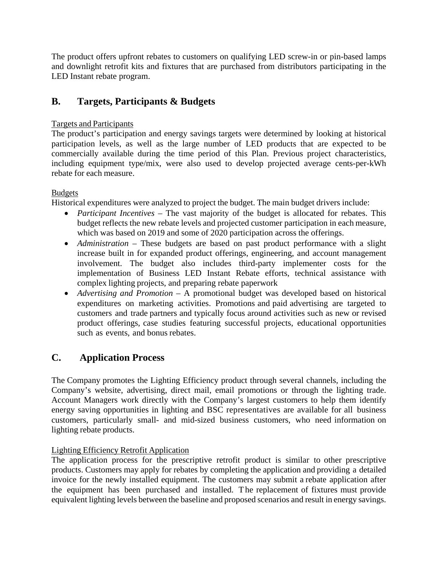The product offers upfront rebates to customers on qualifying LED screw-in or pin-based lamps and downlight retrofit kits and fixtures that are purchased from distributors participating in the LED Instant rebate program.

## **B. Targets, Participants & Budgets**

### Targets and Participants

The product's participation and energy savings targets were determined by looking at historical participation levels, as well as the large number of LED products that are expected to be commercially available during the time period of this Plan. Previous project characteristics, including equipment type/mix, were also used to develop projected average cents-per-kWh rebate for each measure.

### Budgets

Historical expenditures were analyzed to project the budget. The main budget drivers include:

- *Participant Incentives* The vast majority of the budget is allocated for rebates. This budget reflects the new rebate levels and projected customer participation in each measure, which was based on 2019 and some of 2020 participation across the offerings.
- *Administration* These budgets are based on past product performance with a slight increase built in for expanded product offerings, engineering, and account management involvement. The budget also includes third-party implementer costs for the implementation of Business LED Instant Rebate efforts, technical assistance with complex lighting projects, and preparing rebate paperwork
- *Advertising and Promotion* A promotional budget was developed based on historical expenditures on marketing activities. Promotions and paid advertising are targeted to customers and trade partners and typically focus around activities such as new or revised product offerings, case studies featuring successful projects, educational opportunities such as events, and bonus rebates.

## **C. Application Process**

The Company promotes the Lighting Efficiency product through several channels, including the Company's website, advertising, direct mail, email promotions or through the lighting trade. Account Managers work directly with the Company's largest customers to help them identify energy saving opportunities in lighting and BSC representatives are available for all business customers, particularly small- and mid-sized business customers, who need information on lighting rebate products.

## Lighting Efficiency Retrofit Application

The application process for the prescriptive retrofit product is similar to other prescriptive products. Customers may apply for rebates by completing the application and providing a detailed invoice for the newly installed equipment. The customers may submit a rebate application after the equipment has been purchased and installed. T he replacement of fixtures must provide equivalent lighting levels between the baseline and proposed scenarios and result in energy savings.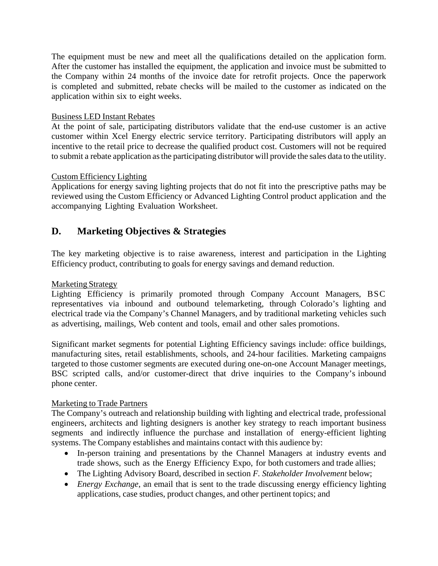The equipment must be new and meet all the qualifications detailed on the application form. After the customer has installed the equipment, the application and invoice must be submitted to the Company within 24 months of the invoice date for retrofit projects. Once the paperwork is completed and submitted, rebate checks will be mailed to the customer as indicated on the application within six to eight weeks.

### Business LED Instant Rebates

At the point of sale, participating distributors validate that the end-use customer is an active customer within Xcel Energy electric service territory. Participating distributors will apply an incentive to the retail price to decrease the qualified product cost. Customers will not be required to submit a rebate application asthe participating distributor will provide the sales data to the utility.

### Custom Efficiency Lighting

Applications for energy saving lighting projects that do not fit into the prescriptive paths may be reviewed using the Custom Efficiency or Advanced Lighting Control product application and the accompanying Lighting Evaluation Worksheet.

## **D. Marketing Objectives & Strategies**

The key marketing objective is to raise awareness, interest and participation in the Lighting Efficiency product, contributing to goals for energy savings and demand reduction.

#### Marketing Strategy

Lighting Efficiency is primarily promoted through Company Account Managers, BSC representatives via inbound and outbound telemarketing, through Colorado's lighting and electrical trade via the Company's Channel Managers, and by traditional marketing vehicles such as advertising, mailings, Web content and tools, email and other sales promotions.

Significant market segments for potential Lighting Efficiency savings include: office buildings, manufacturing sites, retail establishments, schools, and 24-hour facilities. Marketing campaigns targeted to those customer segments are executed during one-on-one Account Manager meetings, BSC scripted calls, and/or customer-direct that drive inquiries to the Company's inbound phone center.

#### Marketing to Trade Partners

The Company's outreach and relationship building with lighting and electrical trade, professional engineers, architects and lighting designers is another key strategy to reach important business segments and indirectly influence the purchase and installation of energy-efficient lighting systems. The Company establishes and maintains contact with this audience by:

- In-person training and presentations by the Channel Managers at industry events and trade shows, such as the Energy Efficiency Expo, for both customers and trade allies;
- The Lighting Advisory Board, described in section *F. Stakeholder Involvement* below;
- *Energy Exchange*, an email that is sent to the trade discussing energy efficiency lighting applications, case studies, product changes, and other pertinent topics; and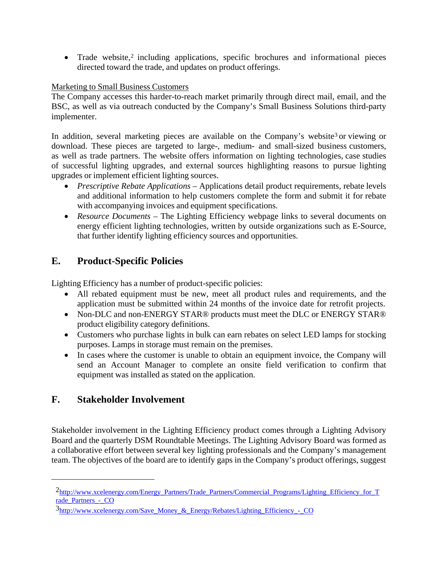• Trade website,<sup>[2](#page-6-0)</sup> including applications, specific brochures and informational pieces directed toward the trade, and updates on product offerings.

### Marketing to Small Business Customers

The Company accesses this harder-to-reach market primarily through direct mail, email, and the BSC, as well as via outreach conducted by the Company's Small Business Solutions third-party implementer.

In addition, several marketing pieces are available on the Company's website<sup>[3](#page-6-1)</sup> or viewing or download. These pieces are targeted to large-, medium- and small-sized business customers, as well as trade partners. The website offers information on lighting technologies, case studies of successful lighting upgrades, and external sources highlighting reasons to pursue lighting upgrades or implement efficient lighting sources.

- *Prescriptive Rebate Applications* Applications detail product requirements, rebate levels and additional information to help customers complete the form and submit it for rebate with accompanying invoices and equipment specifications.
- *Resource Documents* The Lighting Efficiency webpage links to several documents on energy efficient lighting technologies, written by outside organizations such as E-Source, that further identify lighting efficiency sources and opportunities.

## **E. Product-Specific Policies**

Lighting Efficiency has a number of product-specific policies:

- All rebated equipment must be new, meet all product rules and requirements, and the application must be submitted within 24 months of the invoice date for retrofit projects.
- Non-DLC and non-ENERGY STAR® products must meet the DLC or ENERGY STAR® product eligibility category definitions.
- Customers who purchase lights in bulk can earn rebates on select LED lamps for stocking purposes. Lamps in storage must remain on the premises.
- In cases where the customer is unable to obtain an equipment invoice, the Company will send an Account Manager to complete an onsite field verification to confirm that equipment was installed as stated on the application.

## **F. Stakeholder Involvement**

Stakeholder involvement in the Lighting Efficiency product comes through a Lighting Advisory Board and the quarterly DSM Roundtable Meetings. The Lighting Advisory Board was formed as a collaborative effort between several key lighting professionals and the Company's management team. The objectives of the board are to identify gaps in the Company's product offerings, suggest

<span id="page-6-0"></span>[<sup>2</sup>http://www.xcelenergy.com/Energy\\_Partners/Trade\\_Partners/Commercial\\_Programs/Lighting\\_Efficiency\\_for\\_T](http://www.xcelenergy.com/Energy_Partners/Trade_Partners/Commercial_Programs/Lighting_Efficiency_for_Trade_Partners_-_CO) rade<sup>p</sup> Partners - CO

<span id="page-6-1"></span> $3$ http://www.xcelenergy.com/Save Money & Energy/Rebates/Lighting Efficiency - CO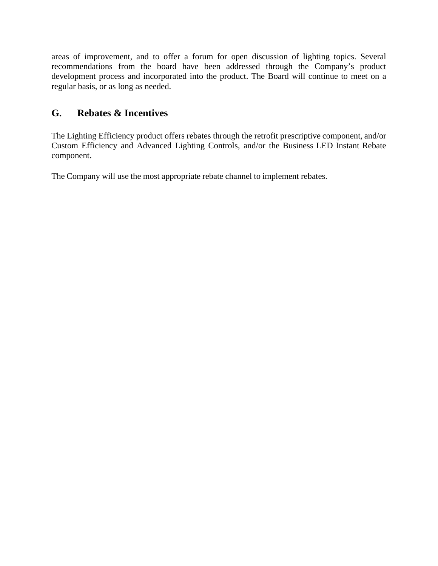areas of improvement, and to offer a forum for open discussion of lighting topics. Several recommendations from the board have been addressed through the Company's product development process and incorporated into the product. The Board will continue to meet on a regular basis, or as long as needed.

## **G. Rebates & Incentives**

The Lighting Efficiency product offers rebates through the retrofit prescriptive component, and/or Custom Efficiency and Advanced Lighting Controls, and/or the Business LED Instant Rebate component.

The Company will use the most appropriate rebate channel to implement rebates.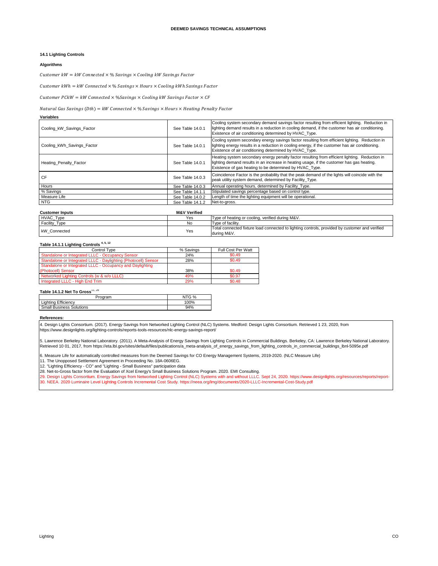#### **14.1 Lighting Controls**

#### **Algorithms**

**Variables**

Customer  $kW = kW$  Connected  $\times$  % Savings  $\times$  Cooling kW Savings Factor

 $Customer\: kWh = kW\:Connected \times \% \: Savings \times Hours \times Cooling\: kWh \: Savings \: Factor$ 

Customer  $PckW = kW$  Connected  $\times$  %Savings  $\times$  Cooling kW Savings Factor  $\times$  CF

#### $\label{eq:1} Natural\ Gas\ Savings\ (Dth) = kW\ Connected\times\%\ Savings\times Hours\times Heating\ Penalty\ Factor$

| Cooling_kW_Savings_Factor     | See Table 14.0.1 | Cooling system secondary demand savings factor resulting from efficient lighting. Reduction in<br>lighting demand results in a reduction in cooling demand, if the customer has air conditioning.<br>Existence of air conditioning determined by HVAC Type. |
|-------------------------------|------------------|-------------------------------------------------------------------------------------------------------------------------------------------------------------------------------------------------------------------------------------------------------------|
| Cooling kWh Savings Factor    | See Table 14.0.1 | Cooling system secondary energy savings factor resulting from efficient lighting. Reduction in<br>lighting energy results in a reduction in cooling energy, if the customer has air conditioning.<br>Existence of air conditioning determined by HVAC Type. |
| <b>Heating Penalty Factor</b> | See Table 14.0.1 | Heating system secondary energy penalty factor resulting from efficient lighting. Reduction in<br>lighting demand results in an increase in heating usage, if the customer has gas heating.<br>Existence of gas heating to be determined by HVAC Type.      |
| <b>CF</b>                     | See Table 14.0.3 | Coincidence Factor is the probability that the peak demand of the lights will coincide with the<br>peak utility system demand, determined by Facility Type.                                                                                                 |
| Hours                         | See Table 14.0.3 | Annual operating hours, determined by Facility Type.                                                                                                                                                                                                        |
| % Savings                     | See Table 14.1.1 | Stipulated savings percentage based on control type.                                                                                                                                                                                                        |
| Measure Life                  | See Table 14.0.2 | Length of time the lighting equipment will be operational.                                                                                                                                                                                                  |
| <b>NTG</b>                    | See Table 14.1.2 | Net-to-gross.                                                                                                                                                                                                                                               |
|                               |                  |                                                                                                                                                                                                                                                             |

| <b>Customer Inputs</b> | <b>M&amp;V Verified</b> |                                                                                                               |
|------------------------|-------------------------|---------------------------------------------------------------------------------------------------------------|
| HVAC_Type              | Yes                     | Type of heating or cooling, verified during M&V.                                                              |
| Facility_Type          | <b>No</b>               | Type of facility.                                                                                             |
| kW Connected           | Yes                     | Total connected fixture load connected to lighting controls, provided by customer and verified<br>during M&V. |

#### **Table 14.1.1 Lighting Controls 4, 5, 12**

| Control Type                                                   | % Savings | Full Cost Per Watt |
|----------------------------------------------------------------|-----------|--------------------|
| Standalone or Integrated LLLC - Occupancy Sensor               | 24%       | \$0.49             |
| Standalone or Integrated LLLC - Daylighting (Photocell) Sensor | 28%       | \$0.49             |
| Standalone or Integrated LLLC - Occupancy and Daylighting      |           |                    |
| (Photocell) Sensor                                             | 38%       | \$0.49             |
| Networked Lighting Controls (w & w/o LLLC)                     | 49%       | \$0.97             |
| Integrated LLLC - High End Trim                                | 29%       | \$0.48             |

#### Table 14.1.2 Net To Gross<sup>11, 28</sup>

| roaram                     | ITG % |
|----------------------------|-------|
| <b>Lighting Efficiency</b> | 100%  |
| Small Business Solutions   | 94%   |

#### **References:**

4. Design Lights Consortium. (2017). Energy Savings from Networked Lighting Control (NLC) Systems. Medford: Design Lights Consortium. Retrieved 1 23, 2020, from https://www.designlights.org/lighting-controls/reports-tools-resources/nlc-energy-savings-report/

5. Lawrence Berkeley National Laboratory. (2011). A Meta-Analysis of Energy Savings from Lighting Controls in Commercial Buildings. Berkeley, CA: Lawrence Berkeley National Laboratory. Retrieved 10 01, 2017, from https://eta.lbl.gov/sites/default/files/publications/a\_meta-analysis\_of\_energy\_savings\_from\_lighting\_controls\_in\_commercial\_buildings\_lbnl-5095e.pdf

6. Measure Life for automatically controlled measures from the Deemed Savings for CO Energy Management Systems, 2019-2020. (NLC Measure Life)

11. The Unopposed Settlement Agreement in Proceeding No. 18A-0606EG.

12. "Lighting Efficiency - CO" and "Lighting - Small Business" participation data

30. NEEA. 2020 Luminaire Level Lighting Controls Incremental Cost Study. https://neea.org/img/documents/2020-LLLC-Incremental-Cost-Study.pdf 28. Net-to-Gross factor from the Evaluation of Xcel Energy's Small Business Solutions Program. 2020. EMI Consulting.<br>29. Design Lights Consortium. Energy Savings from Networked Lighting Control (NLC) Systems with and witho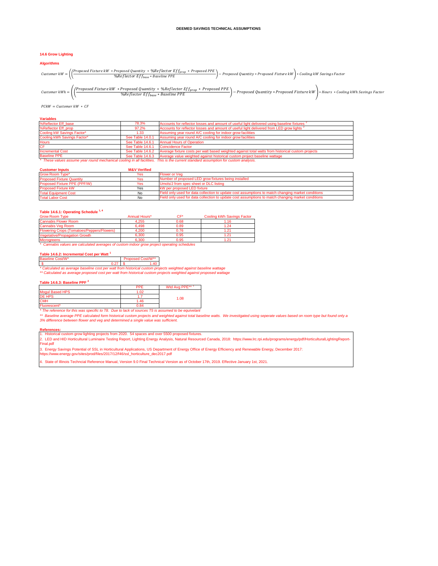#### **14.6 Grow Lighting**

#### **Algorithms**

Customer kW =  $\left(\left(\frac{\text{Proposed Future kW * Proposedը \textit{w}}{\text{Propised} \text{P}}\right) \cdot \text{Replection}}{\text{N6Reflection } \text{Ef} \text{f} \text{a.s}} * \text{ Baseline PPE} \right) - \text{Proposed Quantity * Proposed Fixture kW} * \text{Conjugation}$ 

Customer kWh =  $\left(\left(\frac{Proposed\;Fixture\;kW*Proposed\;Quantity* \%Referector\;Ef_{base}}{%Referector\;Ef_{base}* Baseline\;PPE}\right)-Proposed\;Quantity*Proposed\;Fixture\;kW\right)+Hours*Cooling\;kWh\;Saving\;Factor\;Ef_{base}* Baseline\;PPE$ 

 $P$ CkW = Customer kW  $*$  CF

**Variables**

| %Reflector Eff base         | 78.3%            | Accounts for reflector losses and amount of useful light delivered using baseline fixtures <sup>2</sup>                             |
|-----------------------------|------------------|-------------------------------------------------------------------------------------------------------------------------------------|
| %Reflector Eff prop         | 97.2%            | Accounts for reflector losses and amount of useful light delivered from LED grow lights                                             |
| Cooling kW Savings Factor*  | 1.33             | Assuming year round A/C cooling for indoor grow facilities                                                                          |
| Cooling kWh Savings Factor* | See Table 14.0.1 | Assuming year round A/C cooling for indoor grow facilities                                                                          |
| <b>Hours</b>                | See Table 14.6.1 | <b>Annual Hours of Operation</b>                                                                                                    |
| CF                          | See Table 14.6.1 | Coincidence Factor                                                                                                                  |
| <b>Incremental Cost</b>     | See Table 14.6.2 | Average fixture costs per watt based weighted against total watts from historical custom projects                                   |
| <b>Baseline PPE</b>         | See Table 14.6.3 | Average value weighted against historical custom project baseline wattage                                                           |
|                             |                  | * These values assume year round mechanical cooling in all facilities. This is the current standard assumption for custom analysis. |

#### **Customer Inputs M&V Verified**

| Grow Room Type*                  | Yes | Flower or Veg                                                                                      |
|----------------------------------|-----|----------------------------------------------------------------------------------------------------|
| <b>Proposed Fixture Quantity</b> | Yes | Number of proposed LED grow fixtures being installed                                               |
| Proposed Fixture PPE (PPF/W)     | Yes | Umols/J from spec sheet or DLC listing                                                             |
| <b>Proposed Fixture kW</b>       | Yes | kW per proposed LED fixture                                                                        |
| <b>Total Equipment Cost</b>      | No  | Field only used for data collection to update cost assumptions to match changing market conditions |
| <b>Total Labor Cost</b>          | No  | Field only used for data collection to update cost assumptions to match changing market conditions |

#### **Table 14.6.1: Operating Schedule 1, 4**

| <b>Grow Room Type</b>                                                                       | Annual Hours* | ∼⊏∗  | Cooling kWh Savings Factor |  |  |  |  |  |
|---------------------------------------------------------------------------------------------|---------------|------|----------------------------|--|--|--|--|--|
| <b>Cannabis Flower Room</b>                                                                 | 4.255         | 0.68 | 1.16                       |  |  |  |  |  |
| <b>Cannabis Veg Room</b>                                                                    | 6.498         | 0.89 | 1.24                       |  |  |  |  |  |
| <b>Flowering Crops (Tomatoes/Peppers/Flowers)</b>                                           | 4.200         | 0.76 | 1.21                       |  |  |  |  |  |
| Vegetative/Propagation Growth                                                               | 6.300         | 0.95 | 1.21                       |  |  |  |  |  |
| <b>Microgreens</b>                                                                          | 6.300         | 0.95 | 1.21                       |  |  |  |  |  |
| * Cannabis values are calculated averages of custom indoor grow project operating schedules |               |      |                            |  |  |  |  |  |

#### **Table 14.6.2: Incremental Cost per Watt <sup>1</sup>**

| Baseline Cost/W*                                                                  |  | Proposed Cost/W** |  |
|-----------------------------------------------------------------------------------|--|-------------------|--|
| $0.27$   $^{\circ}$                                                               |  | 1.40              |  |
| * Calculated as average baseline cost ner watt from historical custom projects we |  |                   |  |

*\*\* Calculated as average proposed cost per watt from historical custom projects weighted against proposed wattage \* Calculated as average baseline cost per watt from historical custom projects weighted against baseline wattage*

#### **Table 14.6.3: Baseline PPF <sup>2</sup>**

**References:**

|                        | PPF    | Wtd Avg PPE** 1 |
|------------------------|--------|-----------------|
| <b>Mogul Based HPS</b> | 0.02   |                 |
| <b>DE HPS</b>          |        | 1.08            |
| <b>CMP</b>             | . . 46 |                 |
| Fluorescent            | በ ጸ4   |                 |

Fluorescent\* 0.84 *\* The reference for this was specific to T8. Due to lack of sources T5 is assumed to be equivelant*

\*\* Baseline average PPE calculated form historical custom projects and weighted against total baseline watts. We investigated using seperate values based on room type but found only a<br>3% difference between flower and veg a

1. Historical custom grow lighting projects from 2020. 54 spaces and over 5500 proposed fixtures.<br>2. LED and HID Horticultural Luminaire Testing Report, Lighting Energy Analysis, Natural Resourced Canada, 2018: https://www Final.pdf

3. Energy Savings Potential of SSL in Horticultural Applications, US Department of Energy Office of Energy Efficiency and Renewable Energy, December 2017:

https://www.energy.gov/sites/prod/files/2017/12/f46/ssl\_horticulture\_dec2017.pdf

4. State of Illinois Techncial Reference Manual, Version 9.0 Final Technical Version as of October 17th, 2019. Effective January 1st, 2021.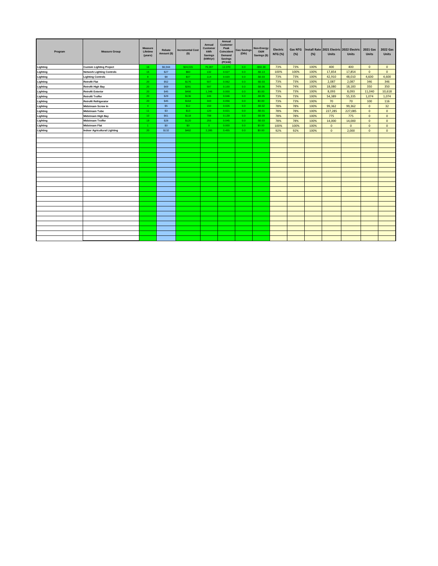| Program  | <b>Measure Group</b>                | <b>Measure</b><br>Lifetime<br>(years) | Rebate<br>Amount (\$) | <b>Incremental Cost</b><br>$($ \$) | Annual<br>Customer<br>kWh<br><b>Savings</b><br>(kWh/yr) | Annual<br><b>Customer</b><br>Peak<br>Coincident<br>Demand<br><b>Savings</b><br>(PCkW) | <b>Gas Savings</b><br>(Dth) | Non-Energy<br>O&M<br>Savings (\$) | Electric<br><b>NTG (%)</b> | <b>Gas NTG</b><br>(%) | (%)  | <b>Units</b> | Install Rate 2021 Electric 2022 Electric<br><b>Units</b> | <b>2021 Gas</b><br><b>Units</b> | 2022 Gas<br><b>Units</b> |
|----------|-------------------------------------|---------------------------------------|-----------------------|------------------------------------|---------------------------------------------------------|---------------------------------------------------------------------------------------|-----------------------------|-----------------------------------|----------------------------|-----------------------|------|--------------|----------------------------------------------------------|---------------------------------|--------------------------|
| Lighting | <b>Custom Lighting Project</b>      | 16                                    | S6.944                | \$24.015                           | 79.287                                                  | 12.370                                                                                | 0.0                         | $-$50.38$                         | 73%                        | 73%                   | 100% | 400          | 400                                                      | $\Omega$                        | $\mathbf{0}$             |
| Lighting | <b>Network Lighting Controls</b>    | 15                                    | <b>S27</b>            | \$60                               | 132                                                     | 0.027                                                                                 | 0.0                         | $-$0.13$                          | 100%                       | 100%                  | 100% | 17,854       | 17,854                                                   | $\mathbf{0}$                    | $\mathbf{0}$             |
| Lighting | <b>Lighting Controls</b>            | -9                                    | \$8                   | \$37                               | 114                                                     | 0.020                                                                                 | 0.0                         | $-$0.03$                          | 73%                        | 73%                   | 100% | 42,910       | 48,010                                                   | 4,600                           | 4,600                    |
| Lighting | <b>Retrofit Flat</b>                | 20                                    | <b>S52</b>            | <b>\$176</b>                       | 507                                                     | 0.062                                                                                 | 0.0                         | $-$0.03$                          | 73%                        | 73%                   | 100% | 2,087        | 2.087                                                    | 346                             | 346                      |
| Lighting | <b>Retrofit High Bay</b>            | 20                                    | \$69                  | \$281                              | 597                                                     | 0.100                                                                                 | 0.0                         | $-$0.06$                          | 74%                        | 74%                   | 100% | 18,080       | 18,183                                                   | 350                             | 350                      |
| Lighting | <b>Retrofit Exterior</b>            | 20                                    | <b>S45</b>            | S466                               | 1.346                                                   | 0.000                                                                                 | 0.0                         | \$0.00                            | 73%                        | 73%                   | 100% | 8,093        | 8,093                                                    | 11,040                          | 10,618                   |
| Lighting | <b>Retrofit Troffer</b>             | 20                                    | \$29                  | \$136                              | 245                                                     | 0.046                                                                                 | 0.0                         | $-$0.05$                          | 73%                        | 73%                   | 100% | 54,389       | 55,335                                                   | 1,074                           | 1,074                    |
| Lighting | <b>Retrofit Refrigerator</b>        | 20                                    | <b>S45</b>            | <b>S164</b>                        | 343                                                     | 0.056                                                                                 | 0.0 <sub>1</sub>            | \$0.00                            | 73%                        | 73%                   | 100% | 70           | 70                                                       | 100                             | 116                      |
| Lighting | <b>Midstream Screw In</b>           | 4 <sup>1</sup>                        | \$5                   | \$12                               | 150                                                     | 0.026                                                                                 | 0.0                         | $-$0.02$                          | 78%                        | 78%                   | 100% | 99,362       | 99,362                                                   | $\mathbf{0}$                    | 32                       |
| Lighting | <b>Midstream Tube</b>               | -11                                   | \$3                   | \$13                               | 120                                                     | 0.021                                                                                 | 0.0 <sub>1</sub>            | $-$0.01$                          | 78%                        | 78%                   | 100% | 227,285      | 227.085                                                  | $\mathbf{0}$                    | $\mathbf{0}$             |
| Lighting | <b>Midstream High Bay</b>           | 10 <sup>°</sup>                       | <b>S61</b>            | S118                               | 798                                                     | 0.139                                                                                 | 0.0                         | $-$0.09$                          | 78%                        | 78%                   | 100% | 775          | 775                                                      | $\Omega$                        | $\mathbf{0}$             |
| Lighting | <b>Midstream Troffer</b>            | 19                                    | \$28                  | \$120                              | 255                                                     | 0.045                                                                                 | 0.0 <sub>1</sub>            | $-$0.03$                          | 78%                        | 78%                   | 100% | 14,000       | 14,000                                                   | $\mathbf{0}$                    | $\mathbf{0}$             |
| Lighting | <b>Midstream Flat</b>               | $\sim$                                | \$0                   | \$0                                | $\overline{0}$                                          | 0.000                                                                                 | 0.0                         | \$0.00                            | 100%                       | 100%                  | 100% | $\mathbf{0}$ | $\mathbf{0}$                                             | $\mathbf{0}$                    | $\mathbf{0}$             |
| Lighting | <b>Indoor Agricultural Lighting</b> | 20                                    | \$132                 | <b>\$482</b>                       | 2,285                                                   | 0.455                                                                                 | 0.0                         | \$0.00                            | 92%                        | 92%                   | 100% | $\mathbf{0}$ | 2,000                                                    | $\mathbf{0}$                    | $\mathbf{0}$             |
|          |                                     |                                       |                       |                                    |                                                         |                                                                                       |                             |                                   |                            |                       |      |              |                                                          |                                 |                          |
|          |                                     |                                       |                       |                                    |                                                         |                                                                                       |                             |                                   |                            |                       |      |              |                                                          |                                 |                          |
|          |                                     |                                       |                       |                                    |                                                         |                                                                                       |                             |                                   |                            |                       |      |              |                                                          |                                 |                          |
|          |                                     |                                       |                       |                                    |                                                         |                                                                                       |                             |                                   |                            |                       |      |              |                                                          |                                 |                          |
|          |                                     |                                       |                       |                                    |                                                         |                                                                                       |                             |                                   |                            |                       |      |              |                                                          |                                 |                          |
|          |                                     |                                       |                       |                                    |                                                         |                                                                                       |                             |                                   |                            |                       |      |              |                                                          |                                 |                          |
|          |                                     |                                       |                       |                                    |                                                         |                                                                                       |                             |                                   |                            |                       |      |              |                                                          |                                 |                          |
|          |                                     |                                       |                       |                                    |                                                         |                                                                                       |                             |                                   |                            |                       |      |              |                                                          |                                 |                          |
|          |                                     |                                       |                       |                                    |                                                         |                                                                                       |                             |                                   |                            |                       |      |              |                                                          |                                 |                          |
|          |                                     |                                       |                       |                                    |                                                         |                                                                                       |                             |                                   |                            |                       |      |              |                                                          |                                 |                          |
|          |                                     |                                       |                       |                                    |                                                         |                                                                                       |                             |                                   |                            |                       |      |              |                                                          |                                 |                          |
|          |                                     |                                       |                       |                                    |                                                         |                                                                                       |                             |                                   |                            |                       |      |              |                                                          |                                 |                          |
|          |                                     |                                       |                       |                                    |                                                         |                                                                                       |                             |                                   |                            |                       |      |              |                                                          |                                 |                          |
|          |                                     |                                       |                       |                                    |                                                         |                                                                                       |                             |                                   |                            |                       |      |              |                                                          |                                 |                          |
|          |                                     |                                       |                       |                                    |                                                         |                                                                                       |                             |                                   |                            |                       |      |              |                                                          |                                 |                          |
|          |                                     |                                       |                       |                                    |                                                         |                                                                                       |                             |                                   |                            |                       |      |              |                                                          |                                 |                          |
|          |                                     |                                       |                       |                                    |                                                         |                                                                                       |                             |                                   |                            |                       |      |              |                                                          |                                 |                          |
|          |                                     |                                       |                       |                                    |                                                         |                                                                                       |                             |                                   |                            |                       |      |              |                                                          |                                 |                          |
|          |                                     |                                       |                       |                                    |                                                         |                                                                                       |                             |                                   |                            |                       |      |              |                                                          |                                 |                          |
|          |                                     |                                       |                       |                                    |                                                         |                                                                                       |                             |                                   |                            |                       |      |              |                                                          |                                 |                          |
|          |                                     |                                       |                       |                                    |                                                         |                                                                                       |                             |                                   |                            |                       |      |              |                                                          |                                 |                          |
|          |                                     |                                       |                       |                                    |                                                         |                                                                                       |                             |                                   |                            |                       |      |              |                                                          |                                 |                          |